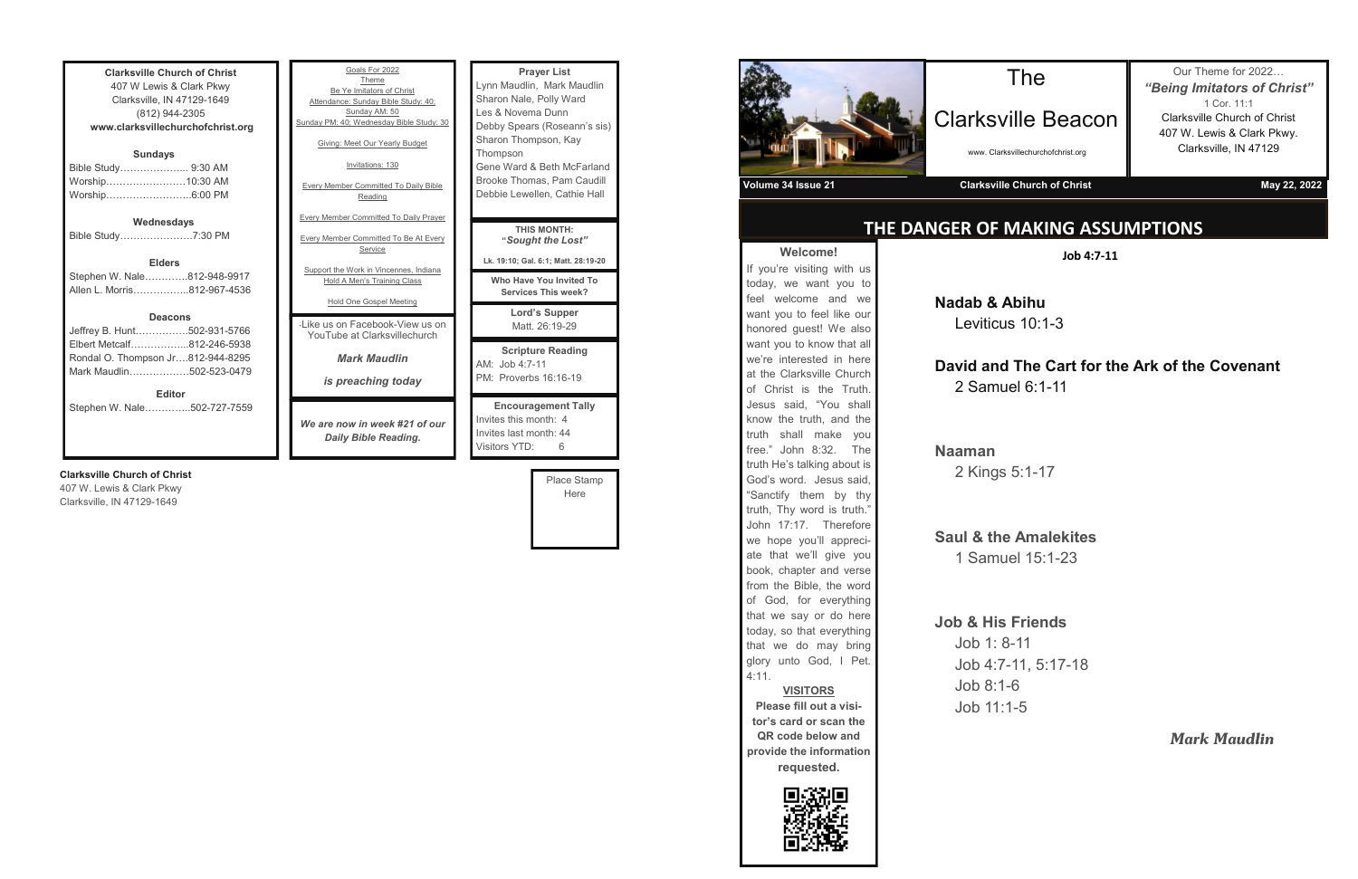| <b>Clarksville Church of Christ</b><br>407 W Lewis & Clark Pkwy<br>Clarksville, IN 47129-1649<br>(812) 944-2305 |  |
|-----------------------------------------------------------------------------------------------------------------|--|
|                                                                                                                 |  |
| www.clarksvillechurchofchrist.org                                                                               |  |
|                                                                                                                 |  |
| <b>Sundays</b>                                                                                                  |  |
| Bible Study………………… 9:30 AM                                                                                      |  |
| Worship10:30 AM                                                                                                 |  |
|                                                                                                                 |  |
| Worship6:00 PM                                                                                                  |  |
|                                                                                                                 |  |
| Wednesdays                                                                                                      |  |
| Bible Study7:30 PM                                                                                              |  |
|                                                                                                                 |  |
| <b>Elders</b>                                                                                                   |  |
| Stephen W. Nale812-948-9917                                                                                     |  |
| Allen L. Morris…………….812-967-4536                                                                               |  |
|                                                                                                                 |  |
| <b>Deacons</b>                                                                                                  |  |
|                                                                                                                 |  |
| Jeffrey B. Hunt502-931-5766                                                                                     |  |
| Elbert Metcalf812-246-5938                                                                                      |  |

Rondal O. Thompson Jr….812-944-8295 Mark Maudlin………………502-523-0479

**Editor** Stephen W. Nale…………..502-727-7559

### **Clarksville Church of Christ**

407 W. Lewis & Clark Pkwy Clarksville, IN 47129-1649

| Goals For 2022                                                                                          | <b>Prayer List</b>                                                                                  |
|---------------------------------------------------------------------------------------------------------|-----------------------------------------------------------------------------------------------------|
| Theme                                                                                                   | Lynn Maudlin, Mark Maudlin                                                                          |
| Be Ye Imitators of Christ                                                                               | Sharon Nale, Polly Ward                                                                             |
| Attendance: Sunday Bible Study: 40;                                                                     | Les & Novema Dunn                                                                                   |
| Sunday AM: 50                                                                                           | Debby Spears (Roseann's sis)                                                                        |
| Sunday PM: 40; Wednesday Bible Study: 30                                                                | Sharon Thompson, Kay                                                                                |
| Giving: Meet Our Yearly Budget                                                                          | Thompson                                                                                            |
| Invitations: 130                                                                                        | Gene Ward & Beth McFarland                                                                          |
| <b>Every Member Committed To Daily Bible</b>                                                            | Brooke Thomas, Pam Caudill                                                                          |
| Reading                                                                                                 | Debbie Lewellen, Cathie Hall                                                                        |
| <b>Every Member Committed To Daily Prayer</b>                                                           | <b>THIS MONTH:</b>                                                                                  |
| <b>Every Member Committed To Be At Every</b>                                                            | "Sought the Lost"                                                                                   |
| Service                                                                                                 | Lk. 19:10; Gal. 6:1; Matt. 28:19-20                                                                 |
| Support the Work in Vincennes, Indiana<br><b>Hold A Men's Training Class</b><br>Hold One Gospel Meeting | Who Have You Invited To<br><b>Services This week?</b>                                               |
| - like us on Facebook-View us on                                                                        | Lord's Supper                                                                                       |
| YouTube at Clarksvillechurch                                                                            | Matt. 26:19-29                                                                                      |
| <b>Mark Maudlin</b><br>is preaching today                                                               | <b>Scripture Reading</b><br>$AM:$ Job 4:7-11<br>PM: Proverbs 16:16-19                               |
| We are now in week #21 of our<br>Daily Bible Reading.                                                   | <b>Encouragement Tally</b><br>Invites this month: 4<br>Invites last month: 44<br>Visitors YTD:<br>6 |

Place Stamp Here



**Welcome!** If you're visiting with us today, we want you to feel welcome and we want you to feel like our honored guest! We also want you to know that all we're interested in here at the Clarksville Church of Christ is the Truth. Jesus said, "You shall know the truth, and the truth shall make you free." John 8:32. The truth He's talking about is God's word. Jesus said, "Sanctify them by thy truth, Thy word is truth." John 17:17. Therefore we hope you'll appreciate that we'll give you book, chapter and verse from the Bible, the word of God, for everything that we say or do here today, so that everything that we do may bring glory unto God, I Pet.

4:11.



**VISITORS Please fill out a visi-**

**tor's card or scan the QR code below and provide the information requested.**

### **THE DANGER OF MAKING ASSUMPTIONS**

## The

Clarksville Beacon

www. Clarksvillechurchofchrist.org

Our Theme for 2022… *"Being Imitators of Christ"* 1 Cor. 11:1 Clarksville Church of Christ 407 W. Lewis & Clark Pkwy. Clarksville, IN 47129

**Volume 34 Issue 21 Clarksville Church of Christ May 22, 2022**

**Job 4:7-11**

**Nadab & Abihu** Leviticus 10:1-3

## **David and The Cart for the Ark of the Covenant**

2 Samuel 6:1-11

**Naaman** 2 Kings 5:1-17

**Saul & the Amalekites** 1 Samuel 15:1-23

### **Job & His Friends**

## Job 1: 8-11

Job 4:7-11, 5:17-18

Job 8:1-6 Job 11:1-5

*Mark Maudlin*